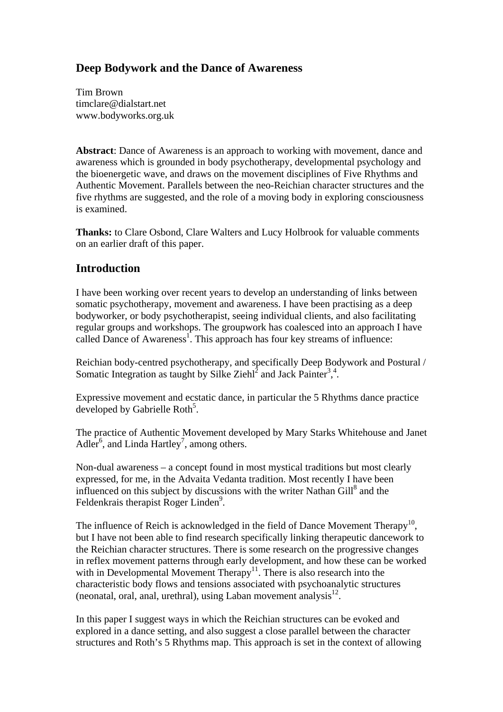# **Deep Bodywork and the Dance of Awareness**

Tim Brown timclare@dialstart.net www.bodyworks.org.uk

**Abstract**: Dance of Awareness is an approach to working with movement, dance and awareness which is grounded in body psychotherapy, developmental psychology and the bioenergetic wave, and draws on the movement disciplines of Five Rhythms and Authentic Movement. Parallels between the neo-Reichian character structures and the five rhythms are suggested, and the role of a moving body in exploring consciousness is examined.

**Thanks:** to Clare Osbond, Clare Walters and Lucy Holbrook for valuable comments on an earlier draft of this paper.

## **Introduction**

I have been working over recent years to develop an understanding of links between somatic psychotherapy, movement and awareness. I have been practising as a deep bodyworker, or body psychotherapist, seeing individual clients, and also facilitating regular groups and workshops. The groupwork has coalesced into an approach I have called Dance of Awareness<sup>1</sup>. This approach has four key streams of influence:

Reichian body-centred psychotherapy, and specifically Deep Bodywork and Postural / Somatic Integration as taught by Silke Ziehl<sup>2</sup> and Jack Painter<sup>3,4</sup>.

Expressive movement and ecstatic dance, in particular the 5 Rhythms dance practice developed by Gabrielle Roth<sup>5</sup>.

The practice of Authentic Movement developed by Mary Starks Whitehouse and Janet Adler<sup>6</sup>, and Linda Hartley<sup>7</sup>, among others.

Non-dual awareness – a concept found in most mystical traditions but most clearly expressed, for me, in the Advaita Vedanta tradition. Most recently I have been influenced on this subject by discussions with the writer Nathan  $\text{Gill}^8$  and the Feldenkrais therapist Roger Linden<sup>9</sup>.

The influence of Reich is acknowledged in the field of Dance Movement Therapy<sup>10</sup>, but I have not been able to find research specifically linking therapeutic dancework to the Reichian character structures. There is some research on the progressive changes in reflex movement patterns through early development, and how these can be worked with in Developmental Movement Therapy<sup>11</sup>. There is also research into the characteristic body flows and tensions associated with psychoanalytic structures (neonatal, oral, anal, urethral), using Laban movement analysis $^{12}$ .

In this paper I suggest ways in which the Reichian structures can be evoked and explored in a dance setting, and also suggest a close parallel between the character structures and Roth's 5 Rhythms map. This approach is set in the context of allowing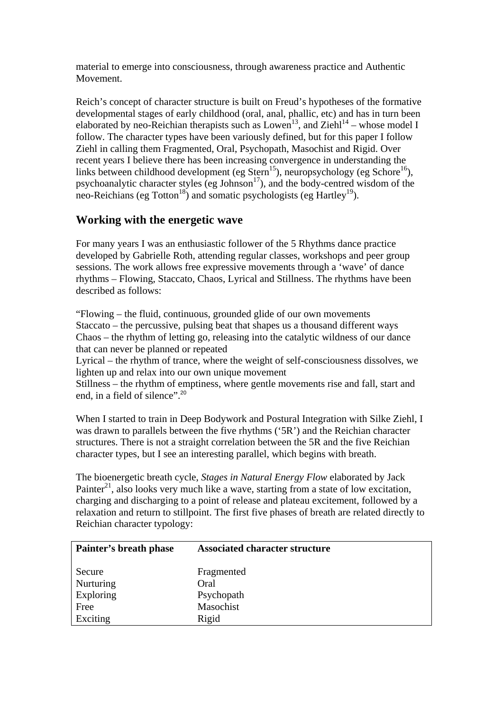material to emerge into consciousness, through awareness practice and Authentic Movement.

Reich's concept of character structure is built on Freud's hypotheses of the formative developmental stages of early childhood (oral, anal, phallic, etc) and has in turn been elaborated by neo-Reichian therapists such as  $Lown<sup>13</sup>$ , and  $Zie<sup>14</sup>$  – whose model I follow. The character types have been variously defined, but for this paper I follow Ziehl in calling them Fragmented, Oral, Psychopath, Masochist and Rigid. Over recent years I believe there has been increasing convergence in understanding the links between childhood development (eg Stern<sup>15</sup>), neuropsychology (eg Schore<sup>16</sup>), psychoanalytic character styles (eg Johnson<sup>17</sup>), and the body-centred wisdom of the neo-Reichians (eg Totton<sup>18</sup>) and somatic psychologists (eg Hartley<sup>19</sup>).

# **Working with the energetic wave**

For many years I was an enthusiastic follower of the 5 Rhythms dance practice developed by Gabrielle Roth, attending regular classes, workshops and peer group sessions. The work allows free expressive movements through a 'wave' of dance rhythms – Flowing, Staccato, Chaos, Lyrical and Stillness. The rhythms have been described as follows:

"Flowing – the fluid, continuous, grounded glide of our own movements Staccato – the percussive, pulsing beat that shapes us a thousand different ways Chaos – the rhythm of letting go, releasing into the catalytic wildness of our dance that can never be planned or repeated

Lyrical – the rhythm of trance, where the weight of self-consciousness dissolves, we lighten up and relax into our own unique movement

Stillness – the rhythm of emptiness, where gentle movements rise and fall, start and end, in a field of silence".<sup>20</sup>

When I started to train in Deep Bodywork and Postural Integration with Silke Ziehl, I was drawn to parallels between the five rhythms ('5R') and the Reichian character structures. There is not a straight correlation between the 5R and the five Reichian character types, but I see an interesting parallel, which begins with breath.

The bioenergetic breath cycle, *Stages in Natural Energy Flow* elaborated by Jack Painter<sup>21</sup>, also looks very much like a wave, starting from a state of low excitation. charging and discharging to a point of release and plateau excitement, followed by a relaxation and return to stillpoint. The first five phases of breath are related directly to Reichian character typology:

| Painter's breath phase | <b>Associated character structure</b> |  |  |
|------------------------|---------------------------------------|--|--|
| Secure                 | Fragmented                            |  |  |
| Nurturing              | Oral                                  |  |  |
| Exploring              | Psychopath                            |  |  |
| Free                   | Masochist                             |  |  |
| Exciting               | Rigid                                 |  |  |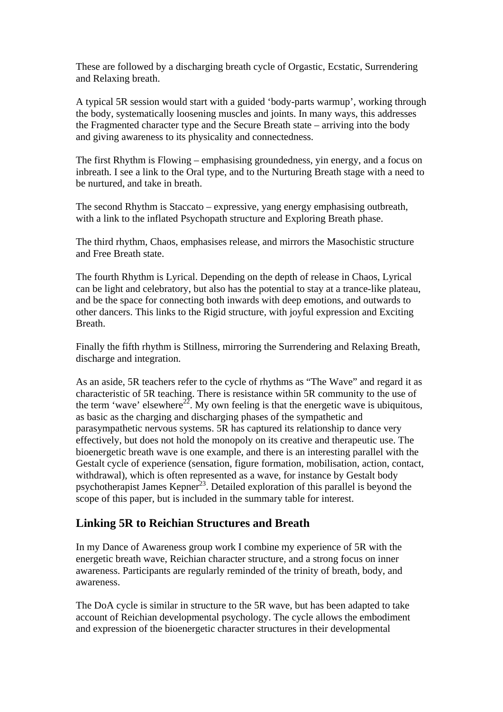These are followed by a discharging breath cycle of Orgastic, Ecstatic, Surrendering and Relaxing breath.

A typical 5R session would start with a guided 'body-parts warmup', working through the body, systematically loosening muscles and joints. In many ways, this addresses the Fragmented character type and the Secure Breath state – arriving into the body and giving awareness to its physicality and connectedness.

The first Rhythm is Flowing – emphasising groundedness, yin energy, and a focus on inbreath. I see a link to the Oral type, and to the Nurturing Breath stage with a need to be nurtured, and take in breath.

The second Rhythm is Staccato – expressive, yang energy emphasising outbreath, with a link to the inflated Psychopath structure and Exploring Breath phase.

The third rhythm, Chaos, emphasises release, and mirrors the Masochistic structure and Free Breath state.

The fourth Rhythm is Lyrical. Depending on the depth of release in Chaos, Lyrical can be light and celebratory, but also has the potential to stay at a trance-like plateau, and be the space for connecting both inwards with deep emotions, and outwards to other dancers. This links to the Rigid structure*,* with joyful expression and Exciting Breath.

Finally the fifth rhythm is Stillness, mirroring the Surrendering and Relaxing Breath, discharge and integration.

As an aside, 5R teachers refer to the cycle of rhythms as "The Wave" and regard it as characteristic of 5R teaching. There is resistance within 5R community to the use of the term 'wave' elsewhere<sup>22</sup>. My own feeling is that the energetic wave is ubiquitous, as basic as the charging and discharging phases of the sympathetic and parasympathetic nervous systems. 5R has captured its relationship to dance very effectively, but does not hold the monopoly on its creative and therapeutic use. The bioenergetic breath wave is one example, and there is an interesting parallel with the Gestalt cycle of experience (sensation, figure formation, mobilisation, action, contact, withdrawal), which is often represented as a wave, for instance by Gestalt body psychotherapist James Kepner<sup>23</sup>. Detailed exploration of this parallel is beyond the scope of this paper, but is included in the summary table for interest.

### **Linking 5R to Reichian Structures and Breath**

In my Dance of Awareness group work I combine my experience of 5R with the energetic breath wave, Reichian character structure, and a strong focus on inner awareness. Participants are regularly reminded of the trinity of breath, body, and awareness.

The DoA cycle is similar in structure to the 5R wave, but has been adapted to take account of Reichian developmental psychology. The cycle allows the embodiment and expression of the bioenergetic character structures in their developmental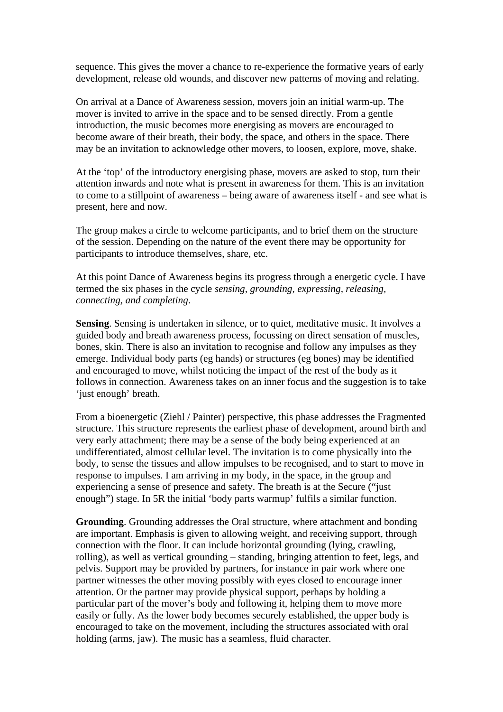sequence. This gives the mover a chance to re-experience the formative years of early development, release old wounds, and discover new patterns of moving and relating.

On arrival at a Dance of Awareness session, movers join an initial warm-up. The mover is invited to arrive in the space and to be sensed directly. From a gentle introduction, the music becomes more energising as movers are encouraged to become aware of their breath, their body, the space, and others in the space. There may be an invitation to acknowledge other movers, to loosen, explore, move, shake.

At the 'top' of the introductory energising phase, movers are asked to stop, turn their attention inwards and note what is present in awareness for them. This is an invitation to come to a stillpoint of awareness – being aware of awareness itself - and see what is present, here and now.

The group makes a circle to welcome participants, and to brief them on the structure of the session. Depending on the nature of the event there may be opportunity for participants to introduce themselves, share, etc.

At this point Dance of Awareness begins its progress through a energetic cycle. I have termed the six phases in the cycle *sensing, grounding, expressing, releasing, connecting, and completing*.

**Sensing**. Sensing is undertaken in silence, or to quiet, meditative music. It involves a guided body and breath awareness process, focussing on direct sensation of muscles, bones, skin. There is also an invitation to recognise and follow any impulses as they emerge. Individual body parts (eg hands) or structures (eg bones) may be identified and encouraged to move, whilst noticing the impact of the rest of the body as it follows in connection. Awareness takes on an inner focus and the suggestion is to take 'just enough' breath.

From a bioenergetic (Ziehl / Painter) perspective, this phase addresses the Fragmented structure. This structure represents the earliest phase of development, around birth and very early attachment; there may be a sense of the body being experienced at an undifferentiated, almost cellular level. The invitation is to come physically into the body, to sense the tissues and allow impulses to be recognised, and to start to move in response to impulses. I am arriving in my body, in the space, in the group and experiencing a sense of presence and safety. The breath is at the Secure ("just enough") stage. In 5R the initial 'body parts warmup' fulfils a similar function.

**Grounding**. Grounding addresses the Oral structure, where attachment and bonding are important. Emphasis is given to allowing weight, and receiving support, through connection with the floor. It can include horizontal grounding (lying, crawling, rolling), as well as vertical grounding – standing, bringing attention to feet, legs, and pelvis. Support may be provided by partners, for instance in pair work where one partner witnesses the other moving possibly with eyes closed to encourage inner attention. Or the partner may provide physical support, perhaps by holding a particular part of the mover's body and following it, helping them to move more easily or fully. As the lower body becomes securely established, the upper body is encouraged to take on the movement, including the structures associated with oral holding (arms, jaw). The music has a seamless, fluid character.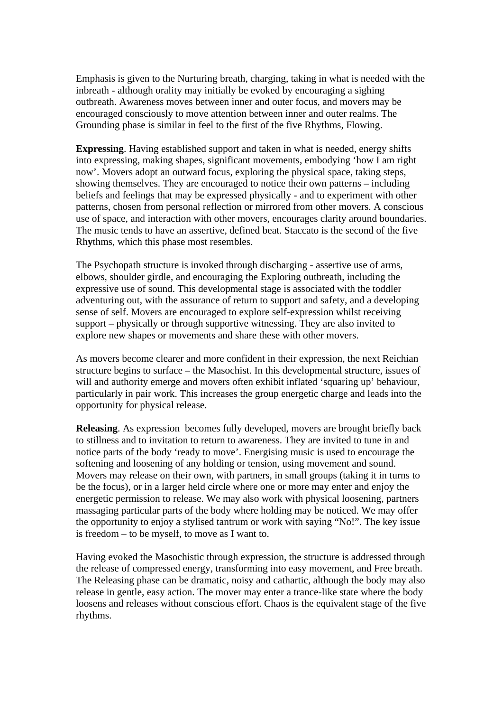Emphasis is given to the Nurturing breath, charging, taking in what is needed with the inbreath - although orality may initially be evoked by encouraging a sighing outbreath. Awareness moves between inner and outer focus, and movers may be encouraged consciously to move attention between inner and outer realms. The Grounding phase is similar in feel to the first of the five Rhythms, Flowing.

**Expressing**. Having established support and taken in what is needed, energy shifts into expressing, making shapes, significant movements, embodying 'how I am right now'. Movers adopt an outward focus, exploring the physical space, taking steps, showing themselves. They are encouraged to notice their own patterns – including beliefs and feelings that may be expressed physically - and to experiment with other patterns, chosen from personal reflection or mirrored from other movers. A conscious use of space, and interaction with other movers, encourages clarity around boundaries. The music tends to have an assertive, defined beat. Staccato is the second of the five Rh**y**thms, which this phase most resembles.

The Psychopath structure is invoked through discharging - assertive use of arms, elbows, shoulder girdle, and encouraging the Exploring outbreath, including the expressive use of sound. This developmental stage is associated with the toddler adventuring out, with the assurance of return to support and safety, and a developing sense of self. Movers are encouraged to explore self-expression whilst receiving support – physically or through supportive witnessing. They are also invited to explore new shapes or movements and share these with other movers.

As movers become clearer and more confident in their expression, the next Reichian structure begins to surface – the Masochist. In this developmental structure, issues of will and authority emerge and movers often exhibit inflated 'squaring up' behaviour, particularly in pair work. This increases the group energetic charge and leads into the opportunity for physical release.

**Releasing**. As expression becomes fully developed, movers are brought briefly back to stillness and to invitation to return to awareness. They are invited to tune in and notice parts of the body 'ready to move'. Energising music is used to encourage the softening and loosening of any holding or tension, using movement and sound. Movers may release on their own, with partners, in small groups (taking it in turns to be the focus), or in a larger held circle where one or more may enter and enjoy the energetic permission to release. We may also work with physical loosening, partners massaging particular parts of the body where holding may be noticed. We may offer the opportunity to enjoy a stylised tantrum or work with saying "No!". The key issue is freedom – to be myself, to move as I want to.

Having evoked the Masochistic through expression, the structure is addressed through the release of compressed energy, transforming into easy movement, and Free breath. The Releasing phase can be dramatic, noisy and cathartic, although the body may also release in gentle, easy action. The mover may enter a trance-like state where the body loosens and releases without conscious effort. Chaos is the equivalent stage of the five rhythms.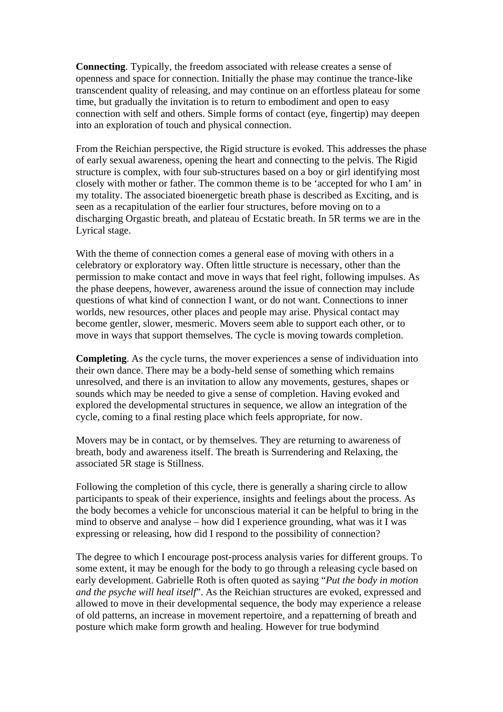**Connecting**. Typically, the freedom associated with release creates a sense of openness and space for connection. Initially the phase may continue the trance-like transcendent quality of releasing, and may continue on an effortless plateau for some time, but gradually the invitation is to return to embodiment and open to easy connection with self and others. Simple forms of contact (eye, fingertip) may deepen into an exploration of touch and physical connection.

From the Reichian perspective, the Rigid structure is evoked. This addresses the phase of early sexual awareness, opening the heart and connecting to the pelvis. The Rigid structure is complex, with four sub-structures based on a boy or girl identifying most closely with mother or father. The common theme is to be 'accepted for who I am' in my totality. The associated bioenergetic breath phase is described as Exciting, and is seen as a recapitulation of the earlier four structures, before moving on to a discharging Orgastic breath, and plateau of Ecstatic breath. In 5R terms we are in the Lyrical stage.

With the theme of connection comes a general ease of moving with others in a celebratory or exploratory way. Often little structure is necessary, other than the permission to make contact and move in ways that feel right, following impulses. As the phase deepens, however, awareness around the issue of connection may include questions of what kind of connection I want, or do not want. Connections to inner worlds, new resources, other places and people may arise. Physical contact may become gentler, slower, mesmeric. Movers seem able to support each other, or to move in ways that support themselves. The cycle is moving towards completion.

**Completing**. As the cycle turns, the mover experiences a sense of individuation into their own dance. There may be a body-held sense of something which remains unresolved, and there is an invitation to allow any movements, gestures, shapes or sounds which may be needed to give a sense of completion. Having evoked and explored the developmental structures in sequence, we allow an integration of the cycle, coming to a final resting place which feels appropriate, for now.

Movers may be in contact, or by themselves. They are returning to awareness of breath, body and awareness itself. The breath is Surrendering and Relaxing, the associated 5R stage is Stillness.

Following the completion of this cycle, there is generally a sharing circle to allow participants to speak of their experience, insights and feelings about the process. As the body becomes a vehicle for unconscious material it can be helpful to bring in the mind to observe and analyse – how did I experience grounding, what was it I was expressing or releasing, how did I respond to the possibility of connection?

The degree to which I encourage post-process analysis varies for different groups. To some extent, it may be enough for the body to go through a releasing cycle based on early development. Gabrielle Roth is often quoted as saying "*Put the body in motion and the psyche will heal itself*". As the Reichian structures are evoked, expressed and allowed to move in their developmental sequence, the body may experience a release of old patterns, an increase in movement repertoire, and a repatterning of breath and posture which make form growth and healing. However for true bodymind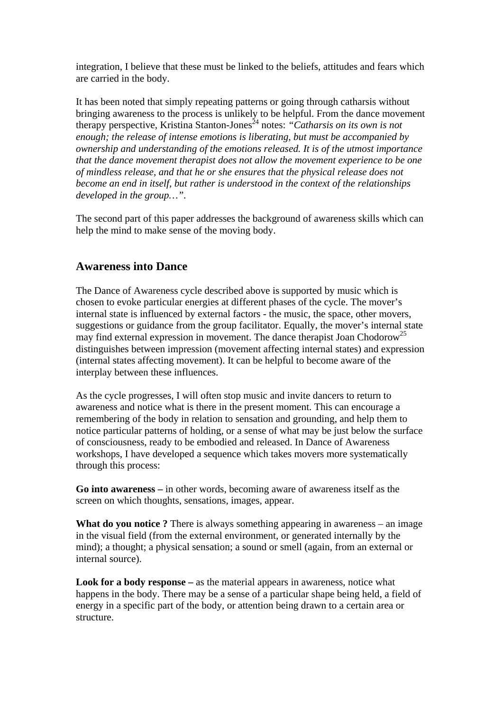integration, I believe that these must be linked to the beliefs, attitudes and fears which are carried in the body.

It has been noted that simply repeating patterns or going through catharsis without bringing awareness to the process is unlikely to be helpful. From the dance movement therapy perspective, Kristina Stanton-Jones<sup>24</sup> notes: "Catharsis on its own is not *enough; the release of intense emotions is liberating, but must be accompanied by ownership and understanding of the emotions released. It is of the utmost importance that the dance movement therapist does not allow the movement experience to be one of mindless release, and that he or she ensures that the physical release does not become an end in itself, but rather is understood in the context of the relationships developed in the group…".* 

The second part of this paper addresses the background of awareness skills which can help the mind to make sense of the moving body.

### **Awareness into Dance**

The Dance of Awareness cycle described above is supported by music which is chosen to evoke particular energies at different phases of the cycle. The mover's internal state is influenced by external factors - the music, the space, other movers, suggestions or guidance from the group facilitator. Equally, the mover's internal state may find external expression in movement. The dance therapist Joan Chodorow<sup>25</sup> distinguishes between impression (movement affecting internal states) and expression (internal states affecting movement). It can be helpful to become aware of the interplay between these influences.

As the cycle progresses, I will often stop music and invite dancers to return to awareness and notice what is there in the present moment. This can encourage a remembering of the body in relation to sensation and grounding, and help them to notice particular patterns of holding, or a sense of what may be just below the surface of consciousness, ready to be embodied and released. In Dance of Awareness workshops, I have developed a sequence which takes movers more systematically through this process:

**Go into awareness –** in other words, becoming aware of awareness itself as the screen on which thoughts, sensations, images, appear.

**What do you notice ?** There is always something appearing in awareness – an image in the visual field (from the external environment, or generated internally by the mind); a thought; a physical sensation; a sound or smell (again, from an external or internal source).

**Look for a body response –** as the material appears in awareness, notice what happens in the body. There may be a sense of a particular shape being held, a field of energy in a specific part of the body, or attention being drawn to a certain area or structure.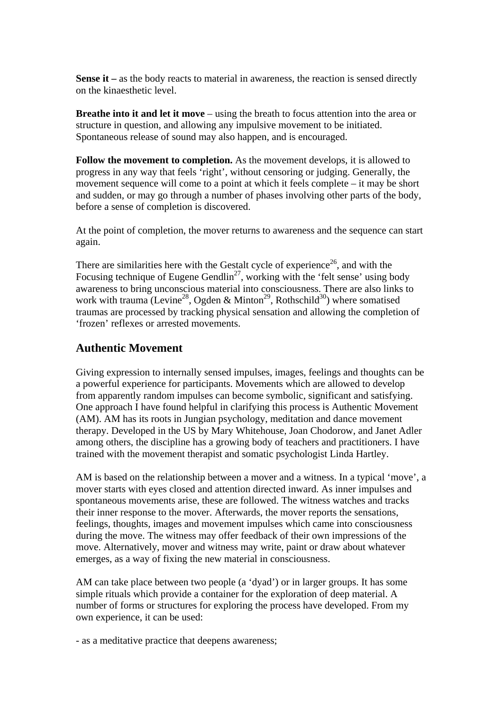**Sense it –** as the body reacts to material in awareness, the reaction is sensed directly on the kinaesthetic level.

**Breathe into it and let it move** – using the breath to focus attention into the area or structure in question, and allowing any impulsive movement to be initiated. Spontaneous release of sound may also happen, and is encouraged.

**Follow the movement to completion.** As the movement develops, it is allowed to progress in any way that feels 'right', without censoring or judging. Generally, the movement sequence will come to a point at which it feels complete – it may be short and sudden, or may go through a number of phases involving other parts of the body, before a sense of completion is discovered.

At the point of completion, the mover returns to awareness and the sequence can start again.

There are similarities here with the Gestalt cycle of experience<sup>26</sup>, and with the Focusing technique of Eugene Gendlin<sup>27</sup>, working with the 'felt sense' using body awareness to bring unconscious material into consciousness. There are also links to work with trauma (Levine<sup>28</sup>, Ogden & Minton<sup>29</sup>, Rothschild<sup>30</sup>) where somatised traumas are processed by tracking physical sensation and allowing the completion of 'frozen' reflexes or arrested movements.

## **Authentic Movement**

Giving expression to internally sensed impulses, images, feelings and thoughts can be a powerful experience for participants. Movements which are allowed to develop from apparently random impulses can become symbolic, significant and satisfying. One approach I have found helpful in clarifying this process is Authentic Movement (AM). AM has its roots in Jungian psychology, meditation and dance movement therapy. Developed in the US by Mary Whitehouse, Joan Chodorow, and Janet Adler among others, the discipline has a growing body of teachers and practitioners. I have trained with the movement therapist and somatic psychologist Linda Hartley.

AM is based on the relationship between a mover and a witness. In a typical 'move', a mover starts with eyes closed and attention directed inward. As inner impulses and spontaneous movements arise, these are followed. The witness watches and tracks their inner response to the mover. Afterwards, the mover reports the sensations, feelings, thoughts, images and movement impulses which came into consciousness during the move. The witness may offer feedback of their own impressions of the move. Alternatively, mover and witness may write, paint or draw about whatever emerges, as a way of fixing the new material in consciousness.

AM can take place between two people (a 'dyad') or in larger groups. It has some simple rituals which provide a container for the exploration of deep material. A number of forms or structures for exploring the process have developed. From my own experience, it can be used:

- as a meditative practice that deepens awareness;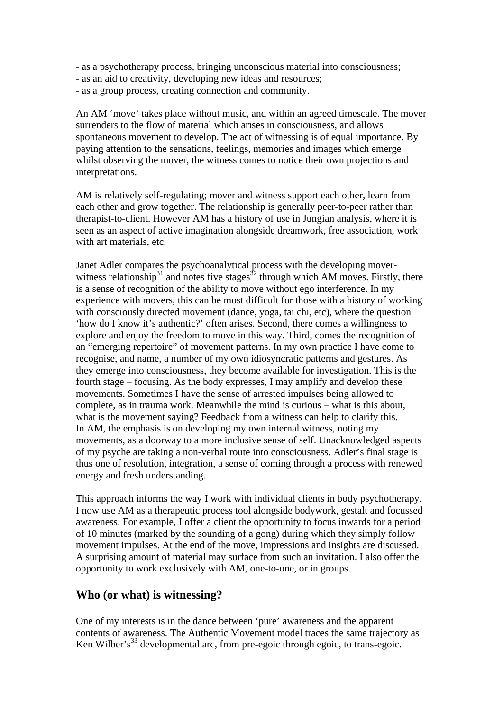- as a psychotherapy process, bringing unconscious material into consciousness;
- as an aid to creativity, developing new ideas and resources;
- as a group process, creating connection and community.

An AM 'move' takes place without music, and within an agreed timescale. The mover surrenders to the flow of material which arises in consciousness, and allows spontaneous movement to develop. The act of witnessing is of equal importance. By paying attention to the sensations, feelings, memories and images which emerge whilst observing the mover, the witness comes to notice their own projections and interpretations.

AM is relatively self-regulating; mover and witness support each other, learn from each other and grow together. The relationship is generally peer-to-peer rather than therapist-to-client. However AM has a history of use in Jungian analysis, where it is seen as an aspect of active imagination alongside dreamwork, free association, work with art materials, etc.

Janet Adler compares the psychoanalytical process with the developing moverwitness relationship<sup>31</sup> and notes five stages<sup>32</sup> through which AM moves. Firstly, there is a sense of recognition of the ability to move without ego interference. In my experience with movers, this can be most difficult for those with a history of working with consciously directed movement (dance, yoga, tai chi, etc), where the question 'how do I know it's authentic?' often arises. Second, there comes a willingness to explore and enjoy the freedom to move in this way. Third, comes the recognition of an "emerging repertoire" of movement patterns. In my own practice I have come to recognise, and name, a number of my own idiosyncratic patterns and gestures. As they emerge into consciousness, they become available for investigation. This is the fourth stage – focusing. As the body expresses, I may amplify and develop these movements. Sometimes I have the sense of arrested impulses being allowed to complete, as in trauma work. Meanwhile the mind is curious – what is this about, what is the movement saying? Feedback from a witness can help to clarify this. In AM, the emphasis is on developing my own internal witness, noting my movements, as a doorway to a more inclusive sense of self. Unacknowledged aspects of my psyche are taking a non-verbal route into consciousness. Adler's final stage is thus one of resolution, integration, a sense of coming through a process with renewed energy and fresh understanding.

This approach informs the way I work with individual clients in body psychotherapy. I now use AM as a therapeutic process tool alongside bodywork, gestalt and focussed awareness. For example, I offer a client the opportunity to focus inwards for a period of 10 minutes (marked by the sounding of a gong) during which they simply follow movement impulses. At the end of the move, impressions and insights are discussed. A surprising amount of material may surface from such an invitation. I also offer the opportunity to work exclusively with AM, one-to-one, or in groups.

### **Who (or what) is witnessing?**

One of my interests is in the dance between 'pure' awareness and the apparent contents of awareness. The Authentic Movement model traces the same trajectory as Ken Wilber's<sup>33</sup> developmental arc, from pre-egoic through egoic, to trans-egoic.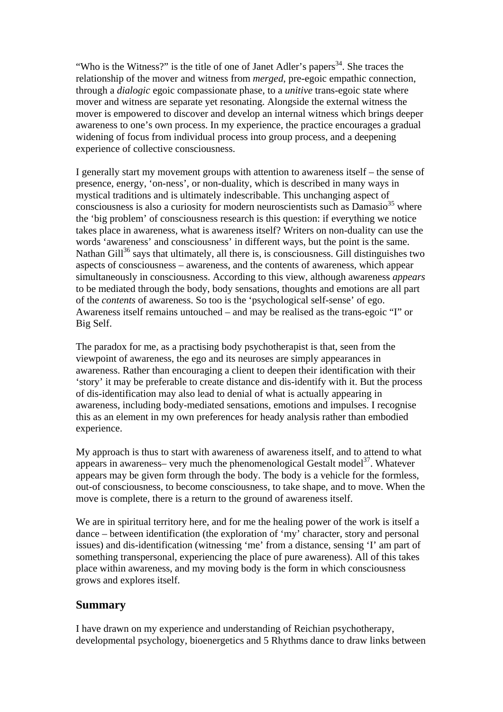"Who is the Witness?" is the title of one of Janet Adler's papers<sup>34</sup>. She traces the relationship of the mover and witness from *merged*, pre-egoic empathic connection, through a *dialogic* egoic compassionate phase, to a *unitive* trans-egoic state where mover and witness are separate yet resonating. Alongside the external witness the mover is empowered to discover and develop an internal witness which brings deeper awareness to one's own process. In my experience, the practice encourages a gradual widening of focus from individual process into group process, and a deepening experience of collective consciousness.

I generally start my movement groups with attention to awareness itself – the sense of presence, energy, 'on-ness', or non-duality, which is described in many ways in mystical traditions and is ultimately indescribable. This unchanging aspect of consciousness is also a curiosity for modern neuroscientists such as  $Damasio<sup>35</sup>$  where the 'big problem' of consciousness research is this question: if everything we notice takes place in awareness, what is awareness itself? Writers on non-duality can use the words 'awareness' and consciousness' in different ways, but the point is the same. Nathan Gill<sup>36</sup> says that ultimately, all there is, is consciousness. Gill distinguishes two aspects of consciousness – awareness, and the contents of awareness, which appear simultaneously in consciousness. According to this view, although awareness *appears* to be mediated through the body, body sensations, thoughts and emotions are all part of the *contents* of awareness. So too is the 'psychological self-sense' of ego. Awareness itself remains untouched – and may be realised as the trans-egoic "I" or Big Self.

The paradox for me, as a practising body psychotherapist is that, seen from the viewpoint of awareness, the ego and its neuroses are simply appearances in awareness. Rather than encouraging a client to deepen their identification with their 'story' it may be preferable to create distance and dis-identify with it. But the process of dis-identification may also lead to denial of what is actually appearing in awareness, including body-mediated sensations, emotions and impulses. I recognise this as an element in my own preferences for heady analysis rather than embodied experience.

My approach is thus to start with awareness of awareness itself, and to attend to what appears in awareness– very much the phenomenological Gestalt model<sup>37</sup>. Whatever appears may be given form through the body. The body is a vehicle for the formless, out-of consciousness, to become consciousness, to take shape, and to move. When the move is complete, there is a return to the ground of awareness itself.

We are in spiritual territory here, and for me the healing power of the work is itself a dance – between identification (the exploration of 'my' character, story and personal issues) and dis-identification (witnessing 'me' from a distance, sensing 'I' am part of something transpersonal, experiencing the place of pure awareness). All of this takes place within awareness, and my moving body is the form in which consciousness grows and explores itself.

### **Summary**

I have drawn on my experience and understanding of Reichian psychotherapy, developmental psychology, bioenergetics and 5 Rhythms dance to draw links between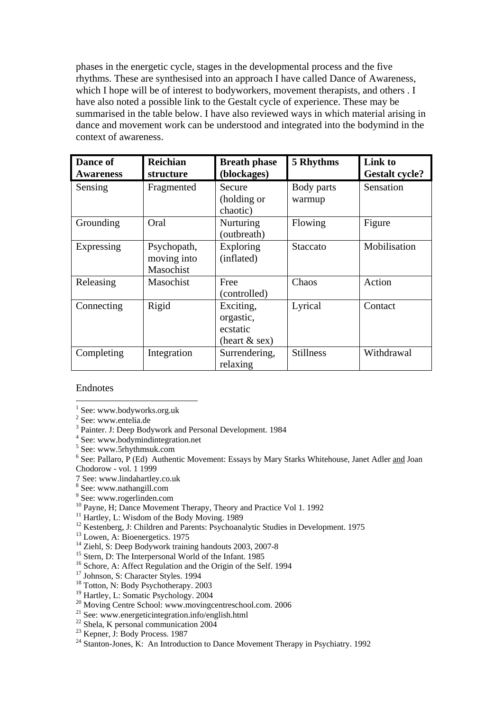phases in the energetic cycle, stages in the developmental process and the five rhythms. These are synthesised into an approach I have called Dance of Awareness, which I hope will be of interest to bodyworkers, movement therapists, and others . I have also noted a possible link to the Gestalt cycle of experience. These may be summarised in the table below. I have also reviewed ways in which material arising in dance and movement work can be understood and integrated into the bodymind in the context of awareness.

| Dance of<br><b>Awareness</b> | <b>Reichian</b><br>structure            | <b>Breath phase</b><br>(blockages)                    | 5 Rhythms            | Link to<br><b>Gestalt cycle?</b> |
|------------------------------|-----------------------------------------|-------------------------------------------------------|----------------------|----------------------------------|
| Sensing                      | Fragmented                              | Secure<br>(holding or<br>chaotic)                     | Body parts<br>warmup | Sensation                        |
| Grounding                    | Oral                                    | Nurturing<br>(outbreath)                              | Flowing              | Figure                           |
| Expressing                   | Psychopath,<br>moving into<br>Masochist | Exploring<br>(inflated)                               | Staccato             | Mobilisation                     |
| Releasing                    | Masochist                               | Free<br>(controlled)                                  | Chaos                | Action                           |
| Connecting                   | Rigid                                   | Exciting,<br>orgastic,<br>ecstatic<br>(heart $&$ sex) | Lyrical              | Contact                          |
| Completing                   | Integration                             | Surrendering,<br>relaxing                             | <b>Stillness</b>     | Withdrawal                       |

#### Endnotes

 $\overline{a}$ 

- 
- <sup>18</sup> Totton, N: Body Psychotherapy. 2003
- <sup>19</sup> Hartley, L: Somatic Psychology. 2004
- <sup>20</sup> Moving Centre School: www.movingcentreschool.com. 2006
- 21 See: www.energeticintegration.info/english.html
- $22$  Shela, K personal communication 2004
- <sup>23</sup> Kepner, J: Body Process. 1987
- <sup>24</sup> Stanton-Jones, K: An Introduction to Dance Movement Therapy in Psychiatry. 1992

<sup>&</sup>lt;sup>1</sup> See: www.bodyworks.org.uk

<sup>2</sup> See: www.entelia.de

<sup>&</sup>lt;sup>3</sup> Painter. J: Deep Bodywork and Personal Development. 1984

<sup>4</sup> See: www.bodymindintegration.net

<sup>5</sup> See: www.5rhythmsuk.com

<sup>&</sup>lt;sup>6</sup> See: Pallaro, P (Ed) Authentic Movement: Essays by Mary Starks Whitehouse, Janet Adler and Joan Chodorow - vol. 1 1999

<sup>7</sup> See: www.lindahartley.co.uk

<sup>8</sup> See: www.nathangill.com

<sup>9</sup> See: www.rogerlinden.com

<sup>10</sup> Payne, H; Dance Movement Therapy, Theory and Practice Vol 1. 1992<br><sup>11</sup> Hartley, L: Wisdom of the Body Moving. 1989

<sup>&</sup>lt;sup>12</sup> Kestenberg, J: Children and Parents: Psychoanalytic Studies in Development. 1975

 $13$  Lowen, A: Bioenergetics. 1975

<sup>&</sup>lt;sup>14</sup> Ziehl, S: Deep Bodywork training handouts 2003, 2007-8

<sup>&</sup>lt;sup>15</sup> Stern, D: The Interpersonal World of the Infant. 1985

<sup>&</sup>lt;sup>16</sup> Schore, A: Affect Regulation and the Origin of the Self. 1994<sup>17</sup> Johnson, S: Character Styles. 1994